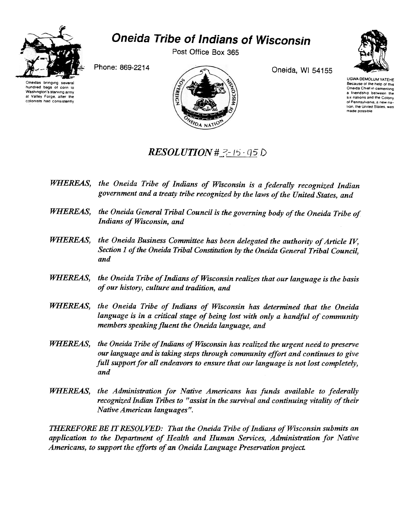

## Oneida Tribe of Indians of Wisconsin

Post Office Box 365





Phone: 869-2214 Oneida, WI 54155

UGWA DEMOLUM YATEHE Because of the help of this Oneida Chief in cementing a friendship between the six nations and the Colony of Pennsylvania, a new nalion, the United States, was made possible

## $RESOLUTION H \textit{3-15-95.D}$

- WHEREAS, the Oneida Tribe of Indians of Wisconsin is a federally recognized Indian government and a treaty tribe recognized by the laws of the United States, and
- WHEREAS, the Oneida General Tribal Council is the governing body of the Oneida Tribe of Indians of Wisconsin, and
- WHEREAS, the Oneida Business Committee has been delegated the authority of Article IV, Section 1 of the Oneida Tribal Constitution by the Oneida General Tribal Council, and
- WHEREAS, the Oneida Tribe of Indians of Wisconsin realizes that our language is the basis of our history, culture and tradition, and
- WHEREAS, the Oneida Tribe of Indians of Wisconsin has determined that the Oneida language is in a critical stage of being lost with only a handful of community members speaking fluent the Oneida language, and
- WHEREAS, the Oneida Tribe of Indians of Wisconsin has realized the urgent need to preserve our language and is taking steps through community effort and continues to give full support for all endeavors to ensure that our language is not lost completely, and
- WHEREAS, the Administration for Native Americans has funds available to federally recognized Indian Tribes to "assist in the survival and continuing vitality of their Native American languages".

THEREFORE BE IT RESOLVED: That the Oneida Tribe of Indians of Wisconsin submits an application to the Department of Health and Human Services, Administration for Native Americans, to support the efforts of an Oneida Language Preservation project